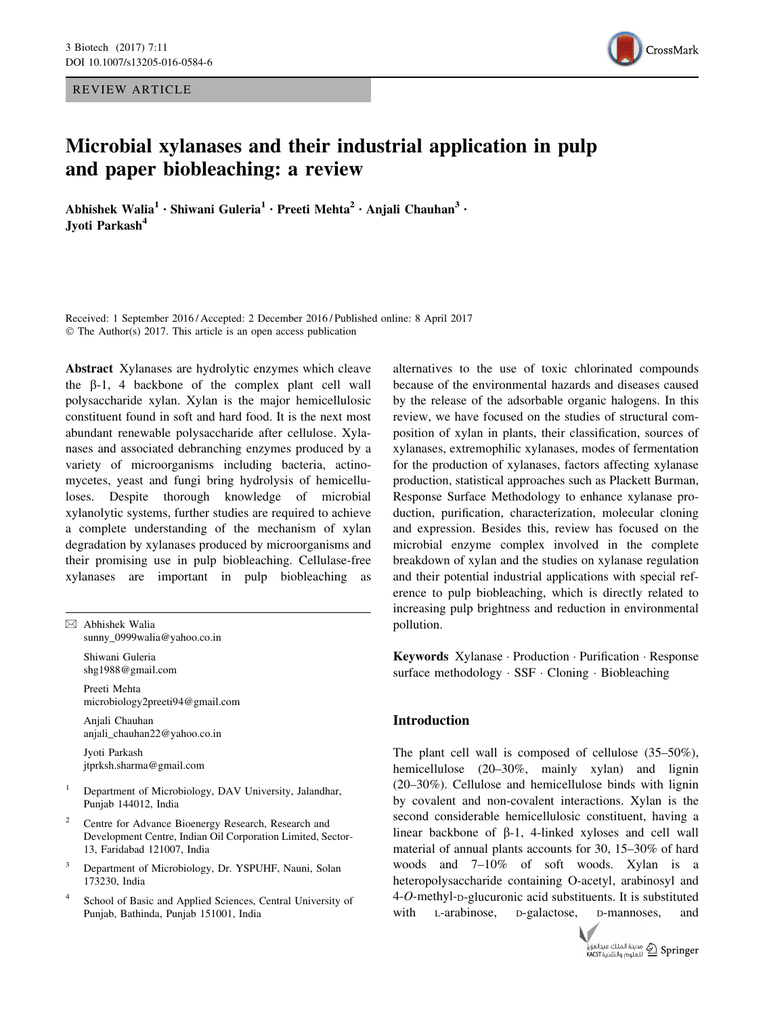REVIEW ARTICLE



# Microbial xylanases and their industrial application in pulp and paper biobleaching: a review

Abhishek Walia<sup>1</sup> · Shiwani Guleria<sup>1</sup> · Preeti Mehta<sup>2</sup> · Anjali Chauhan<sup>3</sup> · Jyoti Parkash<sup>4</sup>

Received: 1 September 2016 / Accepted: 2 December 2016 / Published online: 8 April 2017 © The Author(s) 2017. This article is an open access publication

Abstract Xylanases are hydrolytic enzymes which cleave the  $\beta$ -1, 4 backbone of the complex plant cell wall polysaccharide xylan. Xylan is the major hemicellulosic constituent found in soft and hard food. It is the next most abundant renewable polysaccharide after cellulose. Xylanases and associated debranching enzymes produced by a variety of microorganisms including bacteria, actinomycetes, yeast and fungi bring hydrolysis of hemicelluloses. Despite thorough knowledge of microbial xylanolytic systems, further studies are required to achieve a complete understanding of the mechanism of xylan degradation by xylanases produced by microorganisms and their promising use in pulp biobleaching. Cellulase-free xylanases are important in pulp biobleaching as

 $\boxtimes$  Abhishek Walia sunny\_0999walia@yahoo.co.in Shiwani Guleria shg1988@gmail.com Preeti Mehta microbiology2preeti94@gmail.com Anjali Chauhan anjali\_chauhan22@yahoo.co.in Jyoti Parkash jtprksh.sharma@gmail.com <sup>1</sup> Department of Microbiology, DAV University, Jalandhar, Punjab 144012, India

- <sup>2</sup> Centre for Advance Bioenergy Research, Research and Development Centre, Indian Oil Corporation Limited, Sector-13, Faridabad 121007, India
- <sup>3</sup> Department of Microbiology, Dr. YSPUHF, Nauni, Solan 173230, India
- <sup>4</sup> School of Basic and Applied Sciences, Central University of Punjab, Bathinda, Punjab 151001, India

alternatives to the use of toxic chlorinated compounds because of the environmental hazards and diseases caused by the release of the adsorbable organic halogens. In this review, we have focused on the studies of structural composition of xylan in plants, their classification, sources of xylanases, extremophilic xylanases, modes of fermentation for the production of xylanases, factors affecting xylanase production, statistical approaches such as Plackett Burman, Response Surface Methodology to enhance xylanase production, purification, characterization, molecular cloning and expression. Besides this, review has focused on the microbial enzyme complex involved in the complete breakdown of xylan and the studies on xylanase regulation and their potential industrial applications with special reference to pulp biobleaching, which is directly related to increasing pulp brightness and reduction in environmental pollution.

Keywords Xylanase - Production - Purification - Response surface methodology - SSF - Cloning - Biobleaching

# Introduction

The plant cell wall is composed of cellulose (35–50%), hemicellulose (20–30%, mainly xylan) and lignin (20–30%). Cellulose and hemicellulose binds with lignin by covalent and non-covalent interactions. Xylan is the second considerable hemicellulosic constituent, having a linear backbone of  $\beta$ -1, 4-linked xyloses and cell wall material of annual plants accounts for 30, 15–30% of hard woods and 7–10% of soft woods. Xylan is a heteropolysaccharide containing O-acetyl, arabinosyl and 4-O-methyl-D-glucuronic acid substituents. It is substituted with L-arabinose, D-galactose, D-mannoses, and

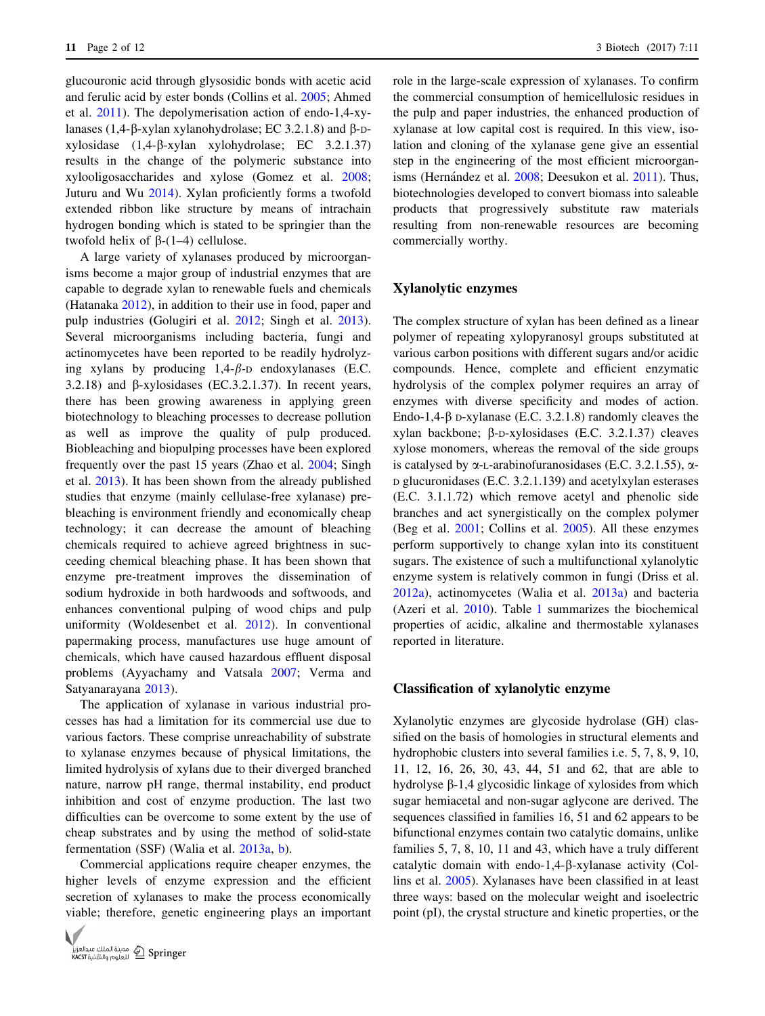glucouronic acid through glysosidic bonds with acetic acid and ferulic acid by ester bonds (Collins et al. [2005](#page-9-0); Ahmed et al. [2011](#page-9-0)). The depolymerisation action of endo-1,4-xylanases (1,4- $\beta$ -xylan xylanohydrolase; EC 3.2.1.8) and  $\beta$ -Dxylosidase (1,4-b-xylan xylohydrolase; EC 3.2.1.37) results in the change of the polymeric substance into xylooligosaccharides and xylose (Gomez et al. [2008](#page-10-0); Juturu and Wu [2014\)](#page-10-0). Xylan proficiently forms a twofold extended ribbon like structure by means of intrachain hydrogen bonding which is stated to be springier than the twofold helix of  $\beta$ -(1–4) cellulose.

A large variety of xylanases produced by microorganisms become a major group of industrial enzymes that are capable to degrade xylan to renewable fuels and chemicals (Hatanaka [2012\)](#page-10-0), in addition to their use in food, paper and pulp industries (Golugiri et al. [2012](#page-10-0); Singh et al. [2013](#page-11-0)). Several microorganisms including bacteria, fungi and actinomycetes have been reported to be readily hydrolyzing xylans by producing  $1,4-\beta$ -D endoxylanases (E.C. 3.2.18) and  $\beta$ -xylosidases (EC.3.2.1.37). In recent years, there has been growing awareness in applying green biotechnology to bleaching processes to decrease pollution as well as improve the quality of pulp produced. Biobleaching and biopulping processes have been explored frequently over the past 15 years (Zhao et al. [2004;](#page-11-0) Singh et al. [2013](#page-11-0)). It has been shown from the already published studies that enzyme (mainly cellulase-free xylanase) prebleaching is environment friendly and economically cheap technology; it can decrease the amount of bleaching chemicals required to achieve agreed brightness in succeeding chemical bleaching phase. It has been shown that enzyme pre-treatment improves the dissemination of sodium hydroxide in both hardwoods and softwoods, and enhances conventional pulping of wood chips and pulp uniformity (Woldesenbet et al. [2012\)](#page-11-0). In conventional papermaking process, manufactures use huge amount of chemicals, which have caused hazardous effluent disposal problems (Ayyachamy and Vatsala [2007](#page-9-0); Verma and Satyanarayana [2013\)](#page-11-0).

The application of xylanase in various industrial processes has had a limitation for its commercial use due to various factors. These comprise unreachability of substrate to xylanase enzymes because of physical limitations, the limited hydrolysis of xylans due to their diverged branched nature, narrow pH range, thermal instability, end product inhibition and cost of enzyme production. The last two difficulties can be overcome to some extent by the use of cheap substrates and by using the method of solid-state fermentation (SSF) (Walia et al. [2013a,](#page-11-0) [b\)](#page-11-0).

Commercial applications require cheaper enzymes, the higher levels of enzyme expression and the efficient secretion of xylanases to make the process economically viable; therefore, genetic engineering plays an important



role in the large-scale expression of xylanases. To confirm the commercial consumption of hemicellulosic residues in the pulp and paper industries, the enhanced production of xylanase at low capital cost is required. In this view, isolation and cloning of the xylanase gene give an essential step in the engineering of the most efficient microorgan-isms (Hernández et al. [2008;](#page-10-0) Deesukon et al. [2011\)](#page-9-0). Thus, biotechnologies developed to convert biomass into saleable products that progressively substitute raw materials resulting from non-renewable resources are becoming commercially worthy.

#### Xylanolytic enzymes

The complex structure of xylan has been defined as a linear polymer of repeating xylopyranosyl groups substituted at various carbon positions with different sugars and/or acidic compounds. Hence, complete and efficient enzymatic hydrolysis of the complex polymer requires an array of enzymes with diverse specificity and modes of action. Endo-1,4- $\beta$  D-xylanase (E.C. 3.2.1.8) randomly cleaves the xylan backbone;  $\beta$ -D-xylosidases (E.C. 3.2.1.37) cleaves xylose monomers, whereas the removal of the side groups is catalysed by  $\alpha$ -L-arabinofuranosidases (E.C. 3.2.1.55),  $\alpha$ -<sup>D</sup> glucuronidases (E.C. 3.2.1.139) and acetylxylan esterases (E.C. 3.1.1.72) which remove acetyl and phenolic side branches and act synergistically on the complex polymer (Beg et al. [2001](#page-9-0); Collins et al. [2005](#page-9-0)). All these enzymes perform supportively to change xylan into its constituent sugars. The existence of such a multifunctional xylanolytic enzyme system is relatively common in fungi (Driss et al. [2012a\)](#page-10-0), actinomycetes (Walia et al. [2013a\)](#page-11-0) and bacteria (Azeri et al. [2010](#page-9-0)). Table [1](#page-2-0) summarizes the biochemical properties of acidic, alkaline and thermostable xylanases reported in literature.

#### Classification of xylanolytic enzyme

Xylanolytic enzymes are glycoside hydrolase (GH) classified on the basis of homologies in structural elements and hydrophobic clusters into several families i.e. 5, 7, 8, 9, 10, 11, 12, 16, 26, 30, 43, 44, 51 and 62, that are able to hydrolyse  $\beta$ -1,4 glycosidic linkage of xylosides from which sugar hemiacetal and non-sugar aglycone are derived. The sequences classified in families 16, 51 and 62 appears to be bifunctional enzymes contain two catalytic domains, unlike families 5, 7, 8, 10, 11 and 43, which have a truly different catalytic domain with endo-1,4-b-xylanase activity (Collins et al. [2005\)](#page-9-0). Xylanases have been classified in at least three ways: based on the molecular weight and isoelectric point (pI), the crystal structure and kinetic properties, or the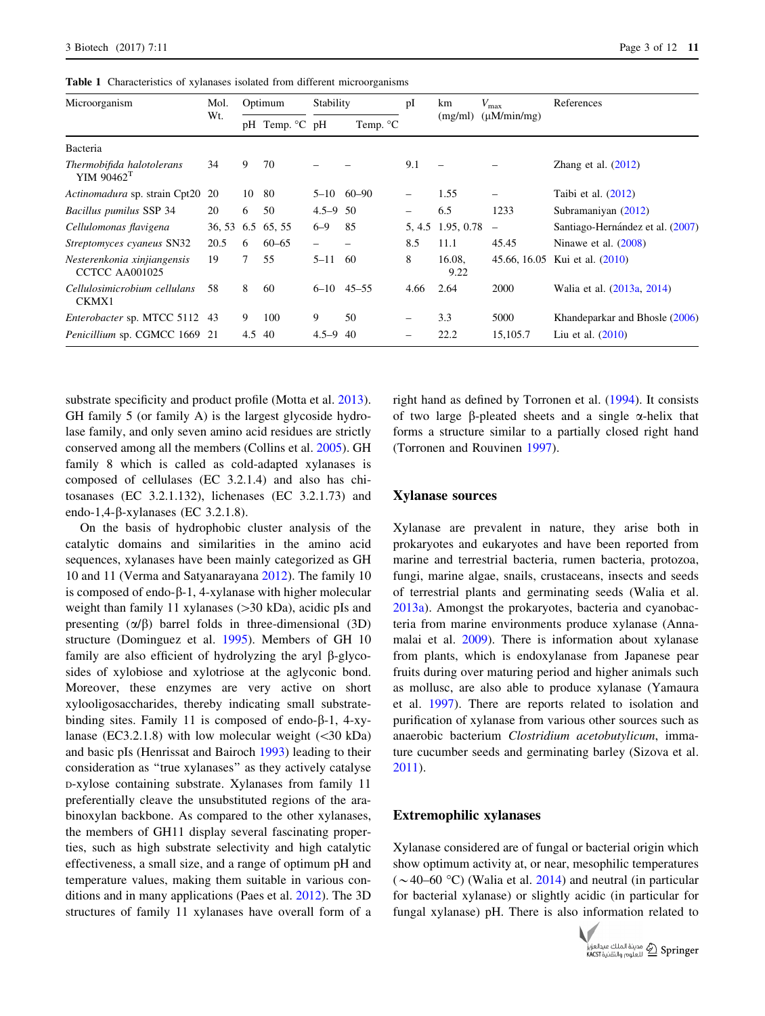<span id="page-2-0"></span>Table 1 Characteristics of xylanases isolated from different microorganisms

| Microorganism                                         | Mol.<br>Wt. | Optimum |                | <b>Stability</b> |                | pI                | km                       | $V_{\rm max}$    | References                       |  |
|-------------------------------------------------------|-------------|---------|----------------|------------------|----------------|-------------------|--------------------------|------------------|----------------------------------|--|
|                                                       |             |         | pH Temp. °C pH |                  | Temp. °C       |                   | (mg/ml)                  | $(\mu M/min/mg)$ |                                  |  |
| Bacteria                                              |             |         |                |                  |                |                   |                          |                  |                                  |  |
| Thermobifida halotolerans<br>$YIM$ 90462 <sup>T</sup> | 34          | 9       | 70             |                  |                | 9.1               | $\overline{\phantom{0}}$ |                  | Zhang et al. $(2012)$            |  |
| Actinomadura sp. strain Cpt20                         | 20          | 10      | 80             |                  | $5-10$ 60-90   | $\qquad \qquad -$ | 1.55                     | -                | Taibi et al. $(2012)$            |  |
| Bacillus pumilus SSP 34                               | 20          | 6       | 50             | $4.5 - 9.50$     |                |                   | 6.5                      | 1233             | Subramaniyan (2012)              |  |
| Cellulomonas flavigena                                | 36, 53      |         | 6.5 65, 55     | $6 - 9$          | 85             |                   | $5, 4.5$ 1.95, 0.78 –    |                  | Santiago-Hernández et al. (2007) |  |
| Streptomyces cyaneus SN32                             | 20.5        | 6       | $60 - 65$      |                  |                | 8.5               | 11.1                     | 45.45            | Ninawe et al. $(2008)$           |  |
| Nesterenkonia xinjiangensis<br>CCTCC AA001025         | 19          |         | 55             | $5 - 11$         | -60            | 8                 | 16.08.<br>9.22           | 45.66, 16.05     | Kui et al. (2010)                |  |
| Cellulosimicrobium cellulans<br>CKMX1                 | 58          | 8       | 60             |                  | $6-10$ $45-55$ | 4.66              | 2.64                     | 2000             | Walia et al. (2013a, 2014)       |  |
| Enterobacter sp. MTCC 5112 43                         |             | 9       | 100            | 9                | 50             |                   | 3.3                      | 5000             | Khandeparkar and Bhosle (2006)   |  |
| Penicillium sp. CGMCC 1669 21                         |             | 4.5 40  |                | $4.5 - 9$        | 40             |                   | 22.2                     | 15,105.7         | Liu et al. $(2010)$              |  |

substrate specificity and product profile (Motta et al. [2013](#page-10-0)). GH family 5 (or family A) is the largest glycoside hydrolase family, and only seven amino acid residues are strictly conserved among all the members (Collins et al. [2005\)](#page-9-0). GH family 8 which is called as cold-adapted xylanases is composed of cellulases (EC 3.2.1.4) and also has chitosanases (EC 3.2.1.132), lichenases (EC 3.2.1.73) and endo-1,4- $\beta$ -xylanases (EC 3.2.1.8).

On the basis of hydrophobic cluster analysis of the catalytic domains and similarities in the amino acid sequences, xylanases have been mainly categorized as GH 10 and 11 (Verma and Satyanarayana [2012\)](#page-11-0). The family 10 is composed of endo- $\beta$ -1, 4-xylanase with higher molecular weight than family 11 xylanases  $(>30 \text{ kDa})$ , acidic pIs and presenting  $(\alpha/\beta)$  barrel folds in three-dimensional (3D) structure (Dominguez et al. [1995\)](#page-9-0). Members of GH 10 family are also efficient of hydrolyzing the aryl  $\beta$ -glycosides of xylobiose and xylotriose at the aglyconic bond. Moreover, these enzymes are very active on short xylooligosaccharides, thereby indicating small substratebinding sites. Family 11 is composed of endo- $\beta$ -1, 4-xylanase (EC3.2.1.8) with low molecular weight  $( $30 \text{ kDa}$ )$ and basic pIs (Henrissat and Bairoch [1993\)](#page-10-0) leading to their consideration as ''true xylanases'' as they actively catalyse D-xylose containing substrate. Xylanases from family 11 preferentially cleave the unsubstituted regions of the arabinoxylan backbone. As compared to the other xylanases, the members of GH11 display several fascinating properties, such as high substrate selectivity and high catalytic effectiveness, a small size, and a range of optimum pH and temperature values, making them suitable in various conditions and in many applications (Paes et al. [2012](#page-10-0)). The 3D structures of family 11 xylanases have overall form of a right hand as defined by Torronen et al. ([1994\)](#page-11-0). It consists of two large  $\beta$ -pleated sheets and a single  $\alpha$ -helix that forms a structure similar to a partially closed right hand (Torronen and Rouvinen [1997\)](#page-11-0).

#### Xylanase sources

Xylanase are prevalent in nature, they arise both in prokaryotes and eukaryotes and have been reported from marine and terrestrial bacteria, rumen bacteria, protozoa, fungi, marine algae, snails, crustaceans, insects and seeds of terrestrial plants and germinating seeds (Walia et al. [2013a\)](#page-11-0). Amongst the prokaryotes, bacteria and cyanobacteria from marine environments produce xylanase (Annamalai et al. [2009\)](#page-9-0). There is information about xylanase from plants, which is endoxylanase from Japanese pear fruits during over maturing period and higher animals such as mollusc, are also able to produce xylanase (Yamaura et al. [1997\)](#page-11-0). There are reports related to isolation and purification of xylanase from various other sources such as anaerobic bacterium Clostridium acetobutylicum, immature cucumber seeds and germinating barley (Sizova et al. [2011](#page-11-0)).

#### Extremophilic xylanases

Xylanase considered are of fungal or bacterial origin which show optimum activity at, or near, mesophilic temperatures  $(\sim 40$ –60 °C) (Walia et al. [2014](#page-11-0)) and neutral (in particular for bacterial xylanase) or slightly acidic (in particular for fungal xylanase) pH. There is also information related to

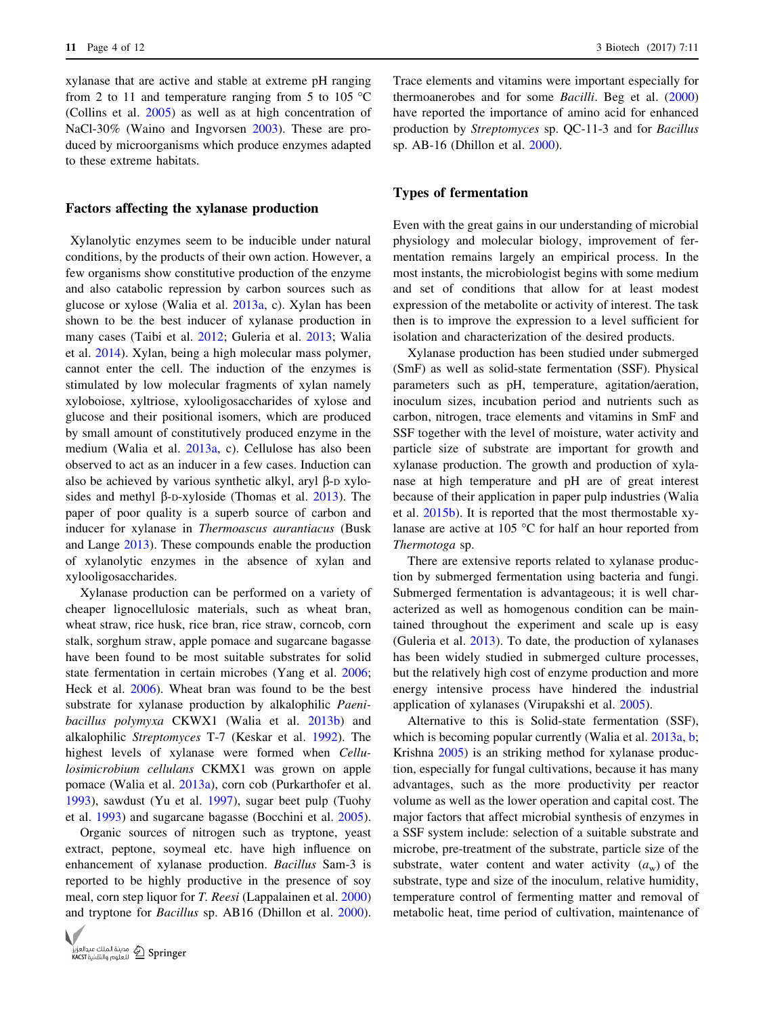xylanase that are active and stable at extreme pH ranging from 2 to 11 and temperature ranging from 5 to 105  $\degree$ C (Collins et al. [2005](#page-9-0)) as well as at high concentration of NaCl-30% (Waino and Ingvorsen [2003\)](#page-11-0). These are produced by microorganisms which produce enzymes adapted to these extreme habitats.

#### Factors affecting the xylanase production

Xylanolytic enzymes seem to be inducible under natural conditions, by the products of their own action. However, a few organisms show constitutive production of the enzyme and also catabolic repression by carbon sources such as glucose or xylose (Walia et al. [2013a,](#page-11-0) c). Xylan has been shown to be the best inducer of xylanase production in many cases (Taibi et al. [2012](#page-11-0); Guleria et al. [2013;](#page-10-0) Walia et al. [2014](#page-11-0)). Xylan, being a high molecular mass polymer, cannot enter the cell. The induction of the enzymes is stimulated by low molecular fragments of xylan namely xyloboiose, xyltriose, xylooligosaccharides of xylose and glucose and their positional isomers, which are produced by small amount of constitutively produced enzyme in the medium (Walia et al. [2013a](#page-11-0), c). Cellulose has also been observed to act as an inducer in a few cases. Induction can also be achieved by various synthetic alkyl, aryl  $\beta$ -D xylosides and methyl  $\beta$ -D-xyloside (Thomas et al. [2013\)](#page-11-0). The paper of poor quality is a superb source of carbon and inducer for xylanase in Thermoascus aurantiacus (Busk and Lange [2013\)](#page-9-0). These compounds enable the production of xylanolytic enzymes in the absence of xylan and xylooligosaccharides.

Xylanase production can be performed on a variety of cheaper lignocellulosic materials, such as wheat bran, wheat straw, rice husk, rice bran, rice straw, corncob, corn stalk, sorghum straw, apple pomace and sugarcane bagasse have been found to be most suitable substrates for solid state fermentation in certain microbes (Yang et al. [2006](#page-11-0); Heck et al. [2006\)](#page-10-0). Wheat bran was found to be the best substrate for xylanase production by alkalophilic Paenibacillus polymyxa CKWX1 (Walia et al. [2013b\)](#page-11-0) and alkalophilic Streptomyces T-7 (Keskar et al. [1992](#page-10-0)). The highest levels of xylanase were formed when Cellulosimicrobium cellulans CKMX1 was grown on apple pomace (Walia et al. [2013a](#page-11-0)), corn cob (Purkarthofer et al. [1993\)](#page-10-0), sawdust (Yu et al. [1997\)](#page-11-0), sugar beet pulp (Tuohy et al. [1993\)](#page-11-0) and sugarcane bagasse (Bocchini et al. [2005](#page-9-0)).

Organic sources of nitrogen such as tryptone, yeast extract, peptone, soymeal etc. have high influence on enhancement of xylanase production. Bacillus Sam-3 is reported to be highly productive in the presence of soy meal, corn step liquor for T. Reesi (Lappalainen et al. [2000\)](#page-10-0) and tryptone for Bacillus sp. AB16 (Dhillon et al. [2000](#page-9-0)).



Trace elements and vitamins were important especially for thermoanerobes and for some Bacilli. Beg et al. ([2000\)](#page-9-0) have reported the importance of amino acid for enhanced production by Streptomyces sp. QC-11-3 and for Bacillus sp. AB-16 (Dhillon et al. [2000](#page-9-0)).

#### Types of fermentation

Even with the great gains in our understanding of microbial physiology and molecular biology, improvement of fermentation remains largely an empirical process. In the most instants, the microbiologist begins with some medium and set of conditions that allow for at least modest expression of the metabolite or activity of interest. The task then is to improve the expression to a level sufficient for isolation and characterization of the desired products.

Xylanase production has been studied under submerged (SmF) as well as solid-state fermentation (SSF). Physical parameters such as pH, temperature, agitation/aeration, inoculum sizes, incubation period and nutrients such as carbon, nitrogen, trace elements and vitamins in SmF and SSF together with the level of moisture, water activity and particle size of substrate are important for growth and xylanase production. The growth and production of xylanase at high temperature and pH are of great interest because of their application in paper pulp industries (Walia et al. [2015b\)](#page-11-0). It is reported that the most thermostable xylanase are active at 105  $\degree$ C for half an hour reported from Thermotoga sp.

There are extensive reports related to xylanase production by submerged fermentation using bacteria and fungi. Submerged fermentation is advantageous; it is well characterized as well as homogenous condition can be maintained throughout the experiment and scale up is easy (Guleria et al. [2013](#page-10-0)). To date, the production of xylanases has been widely studied in submerged culture processes, but the relatively high cost of enzyme production and more energy intensive process have hindered the industrial application of xylanases (Virupakshi et al. [2005\)](#page-11-0).

Alternative to this is Solid-state fermentation (SSF), which is becoming popular currently (Walia et al. [2013a,](#page-11-0) [b](#page-11-0); Krishna [2005](#page-10-0)) is an striking method for xylanase production, especially for fungal cultivations, because it has many advantages, such as the more productivity per reactor volume as well as the lower operation and capital cost. The major factors that affect microbial synthesis of enzymes in a SSF system include: selection of a suitable substrate and microbe, pre-treatment of the substrate, particle size of the substrate, water content and water activity  $(a_w)$  of the substrate, type and size of the inoculum, relative humidity, temperature control of fermenting matter and removal of metabolic heat, time period of cultivation, maintenance of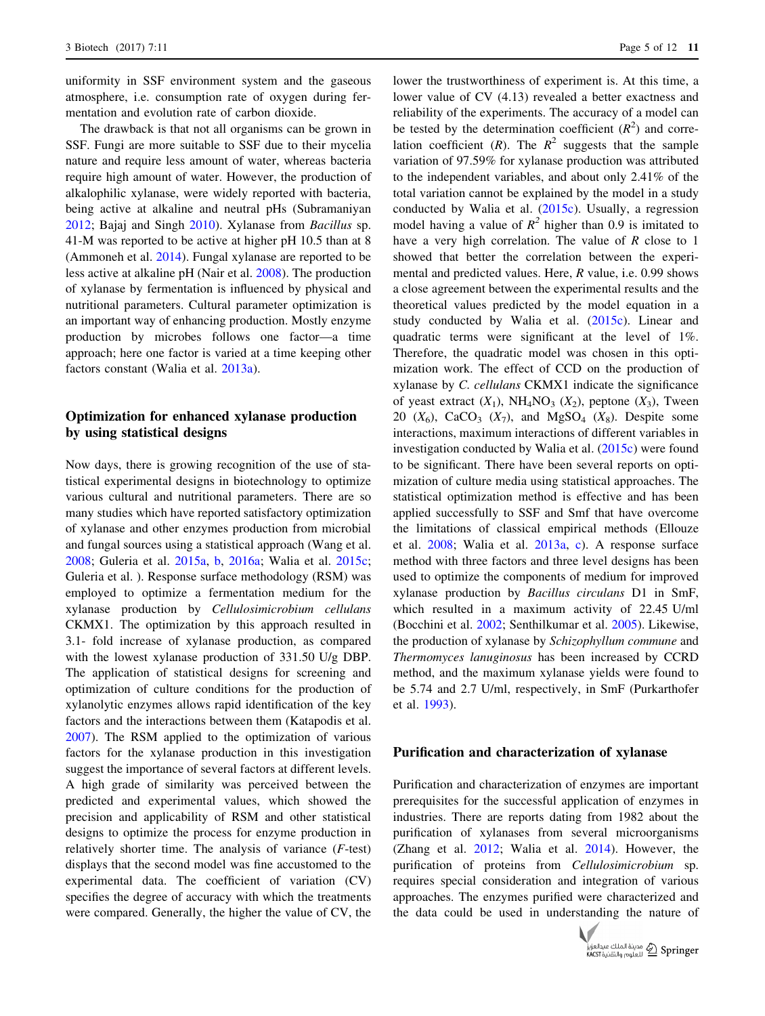uniformity in SSF environment system and the gaseous atmosphere, i.e. consumption rate of oxygen during fermentation and evolution rate of carbon dioxide.

The drawback is that not all organisms can be grown in SSF. Fungi are more suitable to SSF due to their mycelia nature and require less amount of water, whereas bacteria require high amount of water. However, the production of alkalophilic xylanase, were widely reported with bacteria, being active at alkaline and neutral pHs (Subramaniyan [2012;](#page-11-0) Bajaj and Singh [2010\)](#page-9-0). Xylanase from Bacillus sp. 41-M was reported to be active at higher pH 10.5 than at 8 (Ammoneh et al. [2014\)](#page-9-0). Fungal xylanase are reported to be less active at alkaline pH (Nair et al. [2008](#page-10-0)). The production of xylanase by fermentation is influenced by physical and nutritional parameters. Cultural parameter optimization is an important way of enhancing production. Mostly enzyme production by microbes follows one factor—a time approach; here one factor is varied at a time keeping other factors constant (Walia et al. [2013a](#page-11-0)).

# Optimization for enhanced xylanase production by using statistical designs

Now days, there is growing recognition of the use of statistical experimental designs in biotechnology to optimize various cultural and nutritional parameters. There are so many studies which have reported satisfactory optimization of xylanase and other enzymes production from microbial and fungal sources using a statistical approach (Wang et al. [2008;](#page-11-0) Guleria et al. [2015a,](#page-10-0) [b,](#page-10-0) [2016a;](#page-10-0) Walia et al. [2015c](#page-11-0); Guleria et al. ). Response surface methodology (RSM) was employed to optimize a fermentation medium for the xylanase production by Cellulosimicrobium cellulans CKMX1. The optimization by this approach resulted in 3.1- fold increase of xylanase production, as compared with the lowest xylanase production of 331.50 U/g DBP. The application of statistical designs for screening and optimization of culture conditions for the production of xylanolytic enzymes allows rapid identification of the key factors and the interactions between them (Katapodis et al. [2007\)](#page-10-0). The RSM applied to the optimization of various factors for the xylanase production in this investigation suggest the importance of several factors at different levels. A high grade of similarity was perceived between the predicted and experimental values, which showed the precision and applicability of RSM and other statistical designs to optimize the process for enzyme production in relatively shorter time. The analysis of variance (F-test) displays that the second model was fine accustomed to the experimental data. The coefficient of variation (CV) specifies the degree of accuracy with which the treatments were compared. Generally, the higher the value of CV, the

lower the trustworthiness of experiment is. At this time, a lower value of CV (4.13) revealed a better exactness and reliability of the experiments. The accuracy of a model can be tested by the determination coefficient  $(R^2)$  and correlation coefficient (R). The  $R^2$  suggests that the sample variation of 97.59% for xylanase production was attributed to the independent variables, and about only 2.41% of the total variation cannot be explained by the model in a study conducted by Walia et al. [\(2015c\)](#page-11-0). Usually, a regression model having a value of  $R^2$  higher than 0.9 is imitated to have a very high correlation. The value of  $R$  close to 1 showed that better the correlation between the experimental and predicted values. Here, R value, i.e. 0.99 shows a close agreement between the experimental results and the theoretical values predicted by the model equation in a study conducted by Walia et al. ([2015c](#page-11-0)). Linear and quadratic terms were significant at the level of 1%. Therefore, the quadratic model was chosen in this optimization work. The effect of CCD on the production of xylanase by C. cellulans CKMX1 indicate the significance of yeast extract  $(X_1)$ , NH<sub>4</sub>NO<sub>3</sub>  $(X_2)$ , peptone  $(X_3)$ , Tween 20  $(X_6)$ , CaCO<sub>3</sub>  $(X_7)$ , and MgSO<sub>4</sub>  $(X_8)$ . Despite some interactions, maximum interactions of different variables in investigation conducted by Walia et al. ([2015c](#page-11-0)) were found to be significant. There have been several reports on optimization of culture media using statistical approaches. The statistical optimization method is effective and has been applied successfully to SSF and Smf that have overcome the limitations of classical empirical methods (Ellouze et al. [2008;](#page-10-0) Walia et al. [2013a,](#page-11-0) [c\)](#page-11-0). A response surface method with three factors and three level designs has been used to optimize the components of medium for improved xylanase production by Bacillus circulans D1 in SmF, which resulted in a maximum activity of 22.45 U/ml (Bocchini et al. [2002](#page-9-0); Senthilkumar et al. [2005](#page-11-0)). Likewise, the production of xylanase by Schizophyllum commune and Thermomyces lanuginosus has been increased by CCRD method, and the maximum xylanase yields were found to be 5.74 and 2.7 U/ml, respectively, in SmF (Purkarthofer et al. [1993\)](#page-10-0).

#### Purification and characterization of xylanase

Purification and characterization of enzymes are important prerequisites for the successful application of enzymes in industries. There are reports dating from 1982 about the purification of xylanases from several microorganisms (Zhang et al. [2012](#page-11-0); Walia et al. [2014\)](#page-11-0). However, the purification of proteins from Cellulosimicrobium sp. requires special consideration and integration of various approaches. The enzymes purified were characterized and the data could be used in understanding the nature of

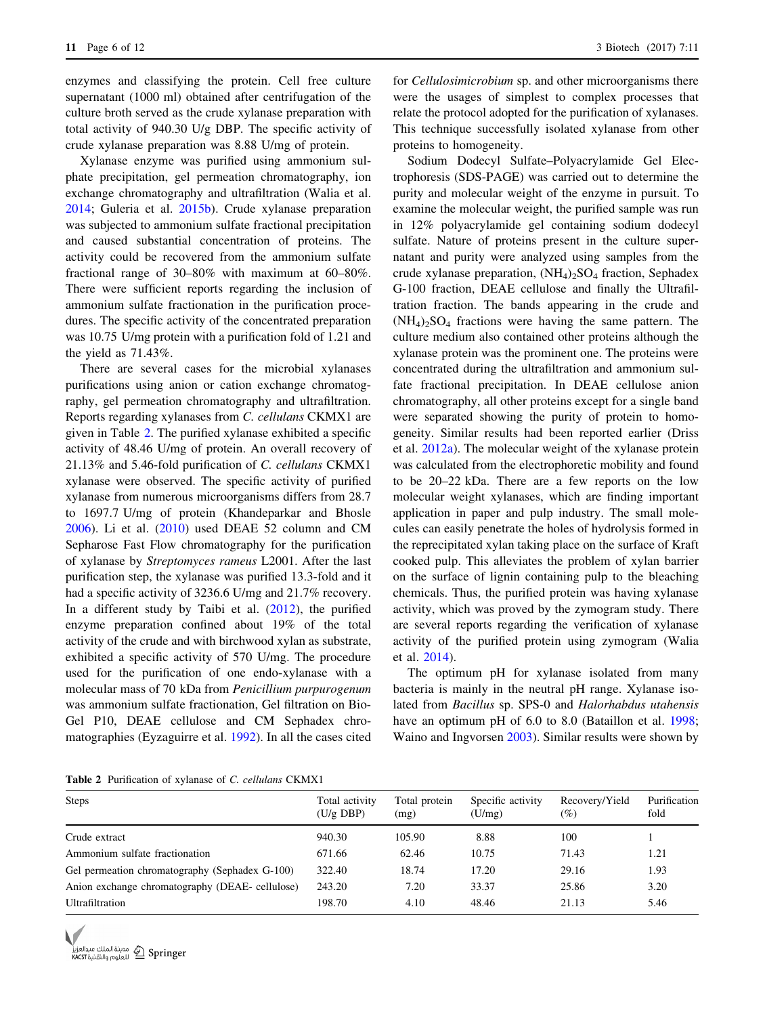enzymes and classifying the protein. Cell free culture supernatant (1000 ml) obtained after centrifugation of the culture broth served as the crude xylanase preparation with total activity of 940.30 U/g DBP. The specific activity of crude xylanase preparation was 8.88 U/mg of protein.

Xylanase enzyme was purified using ammonium sulphate precipitation, gel permeation chromatography, ion exchange chromatography and ultrafiltration (Walia et al. [2014;](#page-11-0) Guleria et al. [2015b](#page-10-0)). Crude xylanase preparation was subjected to ammonium sulfate fractional precipitation and caused substantial concentration of proteins. The activity could be recovered from the ammonium sulfate fractional range of 30–80% with maximum at 60–80%. There were sufficient reports regarding the inclusion of ammonium sulfate fractionation in the purification procedures. The specific activity of the concentrated preparation was 10.75 U/mg protein with a purification fold of 1.21 and the yield as 71.43%.

There are several cases for the microbial xylanases purifications using anion or cation exchange chromatography, gel permeation chromatography and ultrafiltration. Reports regarding xylanases from C. cellulans CKMX1 are given in Table 2. The purified xylanase exhibited a specific activity of 48.46 U/mg of protein. An overall recovery of 21.13% and 5.46-fold purification of C. cellulans CKMX1 xylanase were observed. The specific activity of purified xylanase from numerous microorganisms differs from 28.7 to 1697.7 U/mg of protein (Khandeparkar and Bhosle [2006\)](#page-10-0). Li et al. [\(2010](#page-10-0)) used DEAE 52 column and CM Sepharose Fast Flow chromatography for the purification of xylanase by Streptomyces rameus L2001. After the last purification step, the xylanase was purified 13.3-fold and it had a specific activity of 3236.6 U/mg and 21.7% recovery. In a different study by Taibi et al. [\(2012](#page-11-0)), the purified enzyme preparation confined about 19% of the total activity of the crude and with birchwood xylan as substrate, exhibited a specific activity of 570 U/mg. The procedure used for the purification of one endo-xylanase with a molecular mass of 70 kDa from Penicillium purpurogenum was ammonium sulfate fractionation, Gel filtration on Bio-Gel P10, DEAE cellulose and CM Sephadex chromatographies (Eyzaguirre et al. [1992](#page-10-0)). In all the cases cited for Cellulosimicrobium sp. and other microorganisms there were the usages of simplest to complex processes that relate the protocol adopted for the purification of xylanases. This technique successfully isolated xylanase from other proteins to homogeneity.

Sodium Dodecyl Sulfate–Polyacrylamide Gel Electrophoresis (SDS-PAGE) was carried out to determine the purity and molecular weight of the enzyme in pursuit. To examine the molecular weight, the purified sample was run in 12% polyacrylamide gel containing sodium dodecyl sulfate. Nature of proteins present in the culture supernatant and purity were analyzed using samples from the crude xylanase preparation,  $(NH_4)_2SO_4$  fraction, Sephadex G-100 fraction, DEAE cellulose and finally the Ultrafiltration fraction. The bands appearing in the crude and  $(NH_4)$ <sub>2</sub>SO<sub>4</sub> fractions were having the same pattern. The culture medium also contained other proteins although the xylanase protein was the prominent one. The proteins were concentrated during the ultrafiltration and ammonium sulfate fractional precipitation. In DEAE cellulose anion chromatography, all other proteins except for a single band were separated showing the purity of protein to homogeneity. Similar results had been reported earlier (Driss et al. [2012a\)](#page-10-0). The molecular weight of the xylanase protein was calculated from the electrophoretic mobility and found to be 20–22 kDa. There are a few reports on the low molecular weight xylanases, which are finding important application in paper and pulp industry. The small molecules can easily penetrate the holes of hydrolysis formed in the reprecipitated xylan taking place on the surface of Kraft cooked pulp. This alleviates the problem of xylan barrier on the surface of lignin containing pulp to the bleaching chemicals. Thus, the purified protein was having xylanase activity, which was proved by the zymogram study. There are several reports regarding the verification of xylanase activity of the purified protein using zymogram (Walia et al. [2014\)](#page-11-0).

The optimum pH for xylanase isolated from many bacteria is mainly in the neutral pH range. Xylanase isolated from Bacillus sp. SPS-0 and Halorhabdus utahensis have an optimum pH of 6.0 to 8.0 (Bataillon et al. [1998](#page-9-0); Waino and Ingvorsen [2003\)](#page-11-0). Similar results were shown by

Table 2 Purification of xylanase of C. cellulans CKMX1

| <b>Steps</b>                                    | Total activity<br>(U/g DBP) | Total protein<br>(mg) | Specific activity<br>(U/mg) | Recovery/Yield<br>$(\%)$ | Purification<br>fold |
|-------------------------------------------------|-----------------------------|-----------------------|-----------------------------|--------------------------|----------------------|
| Crude extract                                   | 940.30                      | 105.90                | 8.88                        | 100                      |                      |
| Ammonium sulfate fractionation                  | 671.66                      | 62.46                 | 10.75                       | 71.43                    | 1.21                 |
| Gel permeation chromatography (Sephadex G-100)  | 322.40                      | 18.74                 | 17.20                       | 29.16                    | 1.93                 |
| Anion exchange chromatography (DEAE- cellulose) | 243.20                      | 7.20                  | 33.37                       | 25.86                    | 3.20                 |
| Ultrafiltration                                 | 198.70                      | 4.10                  | 48.46                       | 21.13                    | 5.46                 |

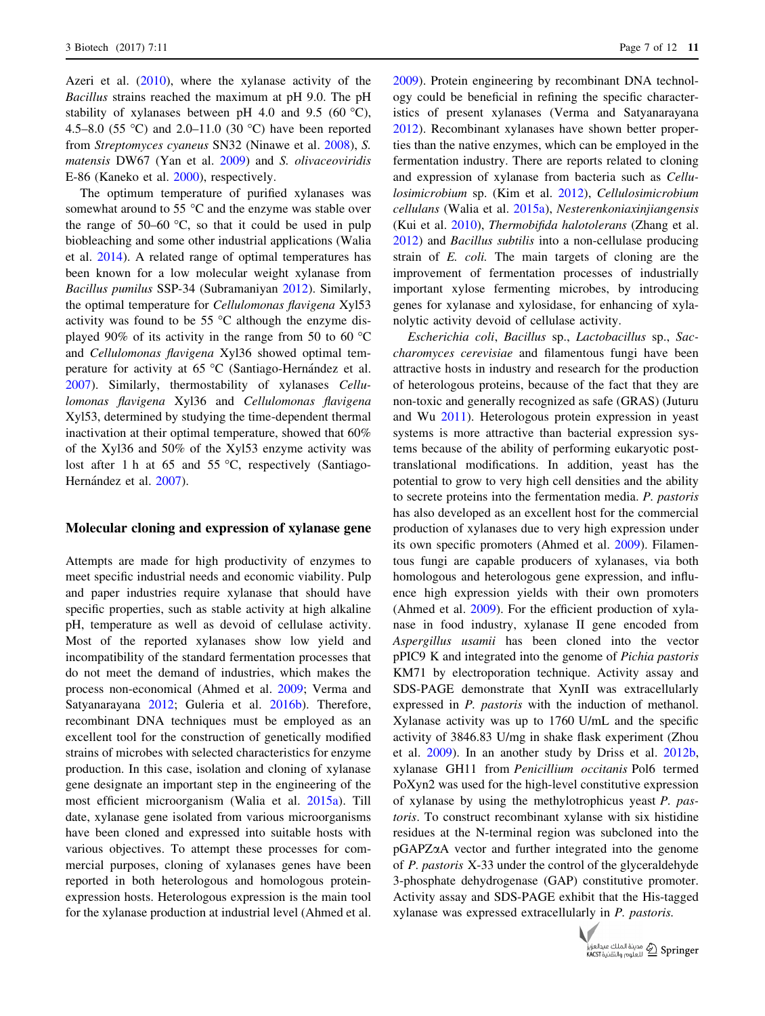Azeri et al. [\(2010](#page-9-0)), where the xylanase activity of the Bacillus strains reached the maximum at pH 9.0. The pH stability of xylanases between pH 4.0 and 9.5 (60  $^{\circ}$ C), 4.5–8.0 (55 °C) and 2.0–11.0 (30 °C) have been reported from Streptomyces cyaneus SN32 (Ninawe et al. [2008\)](#page-10-0), S. matensis DW67 (Yan et al. [2009](#page-11-0)) and S. olivaceoviridis E-86 (Kaneko et al. [2000](#page-10-0)), respectively.

The optimum temperature of purified xylanases was somewhat around to 55 $\degree$ C and the enzyme was stable over the range of  $50-60$  °C, so that it could be used in pulp biobleaching and some other industrial applications (Walia et al. [2014\)](#page-11-0). A related range of optimal temperatures has been known for a low molecular weight xylanase from Bacillus pumilus SSP-34 (Subramaniyan [2012](#page-11-0)). Similarly, the optimal temperature for Cellulomonas flavigena Xyl53 activity was found to be  $55^{\circ}$ C although the enzyme displayed 90% of its activity in the range from 50 to 60  $\degree$ C and Cellulomonas flavigena Xyl36 showed optimal temperature for activity at  $65^{\circ}$ C (Santiago-Hernández et al. [2007\)](#page-10-0). Similarly, thermostability of xylanases Cellulomonas flavigena Xyl36 and Cellulomonas flavigena Xyl53, determined by studying the time-dependent thermal inactivation at their optimal temperature, showed that 60% of the Xyl36 and 50% of the Xyl53 enzyme activity was lost after 1 h at 65 and 55  $\degree$ C, respectively (Santiago-Hernández et al. [2007](#page-10-0)).

#### Molecular cloning and expression of xylanase gene

Attempts are made for high productivity of enzymes to meet specific industrial needs and economic viability. Pulp and paper industries require xylanase that should have specific properties, such as stable activity at high alkaline pH, temperature as well as devoid of cellulase activity. Most of the reported xylanases show low yield and incompatibility of the standard fermentation processes that do not meet the demand of industries, which makes the process non-economical (Ahmed et al. [2009](#page-9-0); Verma and Satyanarayana [2012;](#page-11-0) Guleria et al. [2016b](#page-10-0)). Therefore, recombinant DNA techniques must be employed as an excellent tool for the construction of genetically modified strains of microbes with selected characteristics for enzyme production. In this case, isolation and cloning of xylanase gene designate an important step in the engineering of the most efficient microorganism (Walia et al. [2015a\)](#page-11-0). Till date, xylanase gene isolated from various microorganisms have been cloned and expressed into suitable hosts with various objectives. To attempt these processes for commercial purposes, cloning of xylanases genes have been reported in both heterologous and homologous proteinexpression hosts. Heterologous expression is the main tool for the xylanase production at industrial level (Ahmed et al.

[2009](#page-9-0)). Protein engineering by recombinant DNA technology could be beneficial in refining the specific characteristics of present xylanases (Verma and Satyanarayana [2012](#page-11-0)). Recombinant xylanases have shown better properties than the native enzymes, which can be employed in the fermentation industry. There are reports related to cloning and expression of xylanase from bacteria such as Cellulosimicrobium sp. (Kim et al. [2012\)](#page-10-0), Cellulosimicrobium cellulans (Walia et al. [2015a](#page-11-0)), Nesterenkoniaxinjiangensis (Kui et al. [2010](#page-10-0)), Thermobifida halotolerans (Zhang et al. [2012](#page-11-0)) and Bacillus subtilis into a non-cellulase producing strain of E. coli. The main targets of cloning are the improvement of fermentation processes of industrially important xylose fermenting microbes, by introducing genes for xylanase and xylosidase, for enhancing of xylanolytic activity devoid of cellulase activity.

Escherichia coli, Bacillus sp., Lactobacillus sp., Saccharomyces cerevisiae and filamentous fungi have been attractive hosts in industry and research for the production of heterologous proteins, because of the fact that they are non-toxic and generally recognized as safe (GRAS) (Juturu and Wu [2011\)](#page-10-0). Heterologous protein expression in yeast systems is more attractive than bacterial expression systems because of the ability of performing eukaryotic posttranslational modifications. In addition, yeast has the potential to grow to very high cell densities and the ability to secrete proteins into the fermentation media. P. pastoris has also developed as an excellent host for the commercial production of xylanases due to very high expression under its own specific promoters (Ahmed et al. [2009\)](#page-9-0). Filamentous fungi are capable producers of xylanases, via both homologous and heterologous gene expression, and influence high expression yields with their own promoters (Ahmed et al. [2009](#page-9-0)). For the efficient production of xylanase in food industry, xylanase II gene encoded from Aspergillus usamii has been cloned into the vector pPIC9 K and integrated into the genome of Pichia pastoris KM71 by electroporation technique. Activity assay and SDS-PAGE demonstrate that XynII was extracellularly expressed in P. pastoris with the induction of methanol. Xylanase activity was up to 1760 U/mL and the specific activity of 3846.83 U/mg in shake flask experiment (Zhou et al. [2009](#page-11-0)). In an another study by Driss et al. [2012b,](#page-10-0) xylanase GH11 from Penicillium occitanis Pol6 termed PoXyn2 was used for the high-level constitutive expression of xylanase by using the methylotrophicus yeast P. pastoris. To construct recombinant xylanse with six histidine residues at the N-terminal region was subcloned into the pGAPZaA vector and further integrated into the genome of P. pastoris X-33 under the control of the glyceraldehyde 3-phosphate dehydrogenase (GAP) constitutive promoter. Activity assay and SDS-PAGE exhibit that the His-tagged xylanase was expressed extracellularly in P. pastoris.

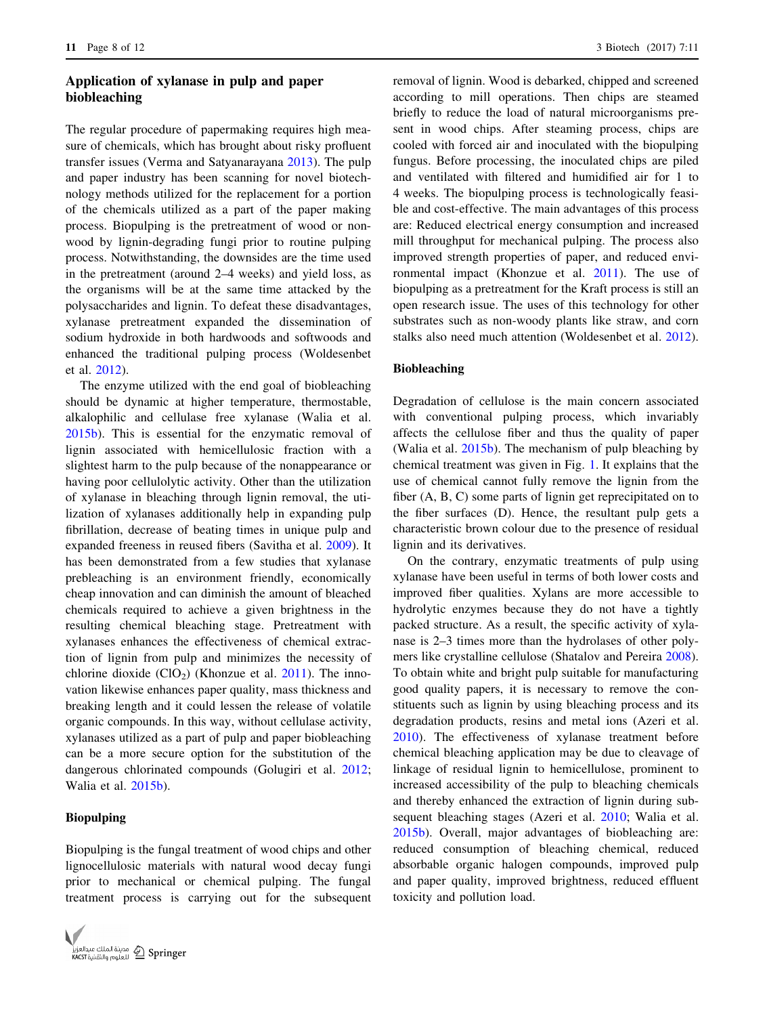# Application of xylanase in pulp and paper biobleaching

The regular procedure of papermaking requires high measure of chemicals, which has brought about risky profluent transfer issues (Verma and Satyanarayana [2013\)](#page-11-0). The pulp and paper industry has been scanning for novel biotechnology methods utilized for the replacement for a portion of the chemicals utilized as a part of the paper making process. Biopulping is the pretreatment of wood or nonwood by lignin-degrading fungi prior to routine pulping process. Notwithstanding, the downsides are the time used in the pretreatment (around 2–4 weeks) and yield loss, as the organisms will be at the same time attacked by the polysaccharides and lignin. To defeat these disadvantages, xylanase pretreatment expanded the dissemination of sodium hydroxide in both hardwoods and softwoods and enhanced the traditional pulping process (Woldesenbet et al. [2012\)](#page-11-0).

The enzyme utilized with the end goal of biobleaching should be dynamic at higher temperature, thermostable, alkalophilic and cellulase free xylanase (Walia et al. [2015b\)](#page-11-0). This is essential for the enzymatic removal of lignin associated with hemicellulosic fraction with a slightest harm to the pulp because of the nonappearance or having poor cellulolytic activity. Other than the utilization of xylanase in bleaching through lignin removal, the utilization of xylanases additionally help in expanding pulp fibrillation, decrease of beating times in unique pulp and expanded freeness in reused fibers (Savitha et al. [2009\)](#page-11-0). It has been demonstrated from a few studies that xylanase prebleaching is an environment friendly, economically cheap innovation and can diminish the amount of bleached chemicals required to achieve a given brightness in the resulting chemical bleaching stage. Pretreatment with xylanases enhances the effectiveness of chemical extraction of lignin from pulp and minimizes the necessity of chlorine dioxide  $(CIO_2)$  (Khonzue et al. [2011](#page-10-0)). The innovation likewise enhances paper quality, mass thickness and breaking length and it could lessen the release of volatile organic compounds. In this way, without cellulase activity, xylanases utilized as a part of pulp and paper biobleaching can be a more secure option for the substitution of the dangerous chlorinated compounds (Golugiri et al. [2012](#page-10-0); Walia et al. [2015b\)](#page-11-0).

#### Biopulping

Biopulping is the fungal treatment of wood chips and other lignocellulosic materials with natural wood decay fungi prior to mechanical or chemical pulping. The fungal treatment process is carrying out for the subsequent



removal of lignin. Wood is debarked, chipped and screened according to mill operations. Then chips are steamed briefly to reduce the load of natural microorganisms present in wood chips. After steaming process, chips are cooled with forced air and inoculated with the biopulping fungus. Before processing, the inoculated chips are piled and ventilated with filtered and humidified air for 1 to 4 weeks. The biopulping process is technologically feasible and cost-effective. The main advantages of this process are: Reduced electrical energy consumption and increased mill throughput for mechanical pulping. The process also improved strength properties of paper, and reduced environmental impact (Khonzue et al. [2011](#page-10-0)). The use of biopulping as a pretreatment for the Kraft process is still an open research issue. The uses of this technology for other substrates such as non-woody plants like straw, and corn stalks also need much attention (Woldesenbet et al. [2012](#page-11-0)).

#### Biobleaching

Degradation of cellulose is the main concern associated with conventional pulping process, which invariably affects the cellulose fiber and thus the quality of paper (Walia et al. [2015b](#page-11-0)). The mechanism of pulp bleaching by chemical treatment was given in Fig. [1.](#page-8-0) It explains that the use of chemical cannot fully remove the lignin from the fiber (A, B, C) some parts of lignin get reprecipitated on to the fiber surfaces (D). Hence, the resultant pulp gets a characteristic brown colour due to the presence of residual lignin and its derivatives.

On the contrary, enzymatic treatments of pulp using xylanase have been useful in terms of both lower costs and improved fiber qualities. Xylans are more accessible to hydrolytic enzymes because they do not have a tightly packed structure. As a result, the specific activity of xylanase is 2–3 times more than the hydrolases of other polymers like crystalline cellulose (Shatalov and Pereira [2008](#page-11-0)). To obtain white and bright pulp suitable for manufacturing good quality papers, it is necessary to remove the constituents such as lignin by using bleaching process and its degradation products, resins and metal ions (Azeri et al. [2010](#page-9-0)). The effectiveness of xylanase treatment before chemical bleaching application may be due to cleavage of linkage of residual lignin to hemicellulose, prominent to increased accessibility of the pulp to bleaching chemicals and thereby enhanced the extraction of lignin during subsequent bleaching stages (Azeri et al. [2010;](#page-9-0) Walia et al. [2015b](#page-11-0)). Overall, major advantages of biobleaching are: reduced consumption of bleaching chemical, reduced absorbable organic halogen compounds, improved pulp and paper quality, improved brightness, reduced effluent toxicity and pollution load.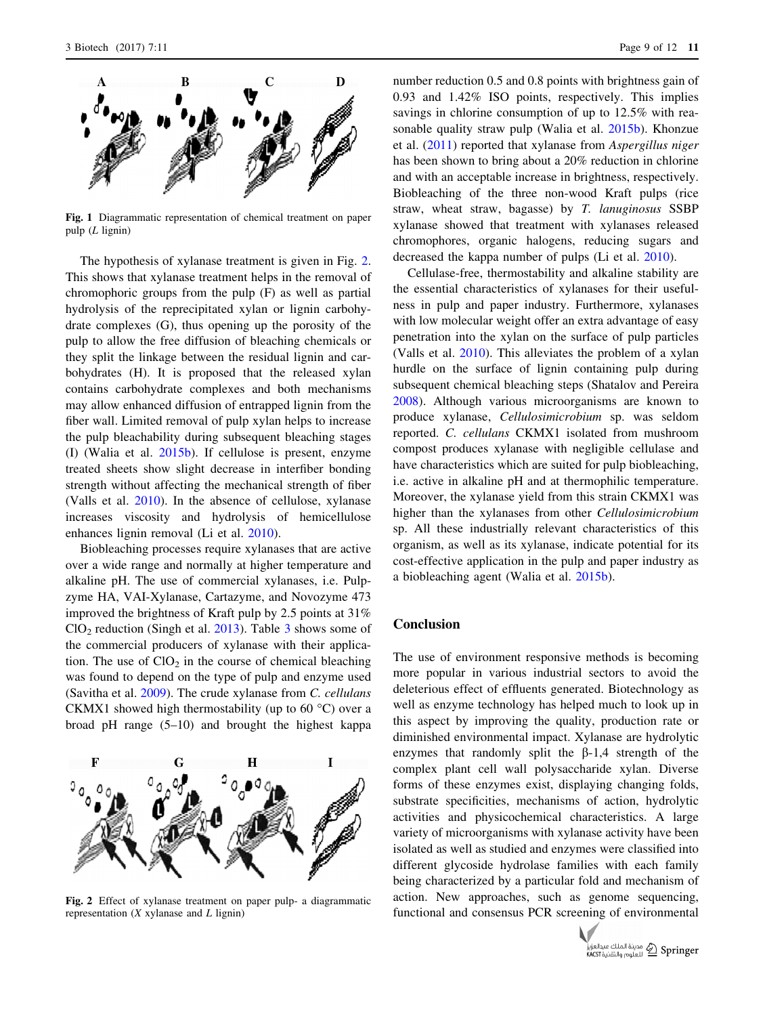<span id="page-8-0"></span>

Fig. 1 Diagrammatic representation of chemical treatment on paper pulp  $(L \text{ lignin})$ 

The hypothesis of xylanase treatment is given in Fig. 2. This shows that xylanase treatment helps in the removal of chromophoric groups from the pulp (F) as well as partial hydrolysis of the reprecipitated xylan or lignin carbohydrate complexes (G), thus opening up the porosity of the pulp to allow the free diffusion of bleaching chemicals or they split the linkage between the residual lignin and carbohydrates (H). It is proposed that the released xylan contains carbohydrate complexes and both mechanisms may allow enhanced diffusion of entrapped lignin from the fiber wall. Limited removal of pulp xylan helps to increase the pulp bleachability during subsequent bleaching stages (I) (Walia et al. [2015b\)](#page-11-0). If cellulose is present, enzyme treated sheets show slight decrease in interfiber bonding strength without affecting the mechanical strength of fiber (Valls et al. [2010\)](#page-11-0). In the absence of cellulose, xylanase increases viscosity and hydrolysis of hemicellulose enhances lignin removal (Li et al. [2010](#page-10-0)).

Biobleaching processes require xylanases that are active over a wide range and normally at higher temperature and alkaline pH. The use of commercial xylanases, i.e. Pulpzyme HA, VAI-Xylanase, Cartazyme, and Novozyme 473 improved the brightness of Kraft pulp by 2.5 points at 31%  $ClO<sub>2</sub>$  reduction (Singh et al. [2013\)](#page-11-0). Table [3](#page-9-0) shows some of the commercial producers of xylanase with their application. The use of  $ClO<sub>2</sub>$  in the course of chemical bleaching was found to depend on the type of pulp and enzyme used (Savitha et al. [2009](#page-11-0)). The crude xylanase from C. cellulans CKMX1 showed high thermostability (up to 60  $\degree$ C) over a broad pH range (5–10) and brought the highest kappa

# $\mathbf F$

Fig. 2 Effect of xylanase treatment on paper pulp- a diagrammatic representation  $(X$  xylanase and  $L$  lignin)

number reduction 0.5 and 0.8 points with brightness gain of 0.93 and 1.42% ISO points, respectively. This implies savings in chlorine consumption of up to 12.5% with reasonable quality straw pulp (Walia et al. [2015b\)](#page-11-0). Khonzue et al. ([2011\)](#page-10-0) reported that xylanase from Aspergillus niger has been shown to bring about a 20% reduction in chlorine and with an acceptable increase in brightness, respectively. Biobleaching of the three non-wood Kraft pulps (rice straw, wheat straw, bagasse) by T. lanuginosus SSBP xylanase showed that treatment with xylanases released chromophores, organic halogens, reducing sugars and decreased the kappa number of pulps (Li et al. [2010\)](#page-10-0).

Cellulase-free, thermostability and alkaline stability are the essential characteristics of xylanases for their usefulness in pulp and paper industry. Furthermore, xylanases with low molecular weight offer an extra advantage of easy penetration into the xylan on the surface of pulp particles (Valls et al. [2010\)](#page-11-0). This alleviates the problem of a xylan hurdle on the surface of lignin containing pulp during subsequent chemical bleaching steps (Shatalov and Pereira [2008](#page-11-0)). Although various microorganisms are known to produce xylanase, Cellulosimicrobium sp. was seldom reported. C. cellulans CKMX1 isolated from mushroom compost produces xylanase with negligible cellulase and have characteristics which are suited for pulp biobleaching, i.e. active in alkaline pH and at thermophilic temperature. Moreover, the xylanase yield from this strain CKMX1 was higher than the xylanases from other Cellulosimicrobium sp. All these industrially relevant characteristics of this organism, as well as its xylanase, indicate potential for its cost-effective application in the pulp and paper industry as a biobleaching agent (Walia et al. [2015b](#page-11-0)).

# **Conclusion**

The use of environment responsive methods is becoming more popular in various industrial sectors to avoid the deleterious effect of effluents generated. Biotechnology as well as enzyme technology has helped much to look up in this aspect by improving the quality, production rate or diminished environmental impact. Xylanase are hydrolytic enzymes that randomly split the  $\beta$ -1,4 strength of the complex plant cell wall polysaccharide xylan. Diverse forms of these enzymes exist, displaying changing folds, substrate specificities, mechanisms of action, hydrolytic activities and physicochemical characteristics. A large variety of microorganisms with xylanase activity have been isolated as well as studied and enzymes were classified into different glycoside hydrolase families with each family being characterized by a particular fold and mechanism of action. New approaches, such as genome sequencing, functional and consensus PCR screening of environmental

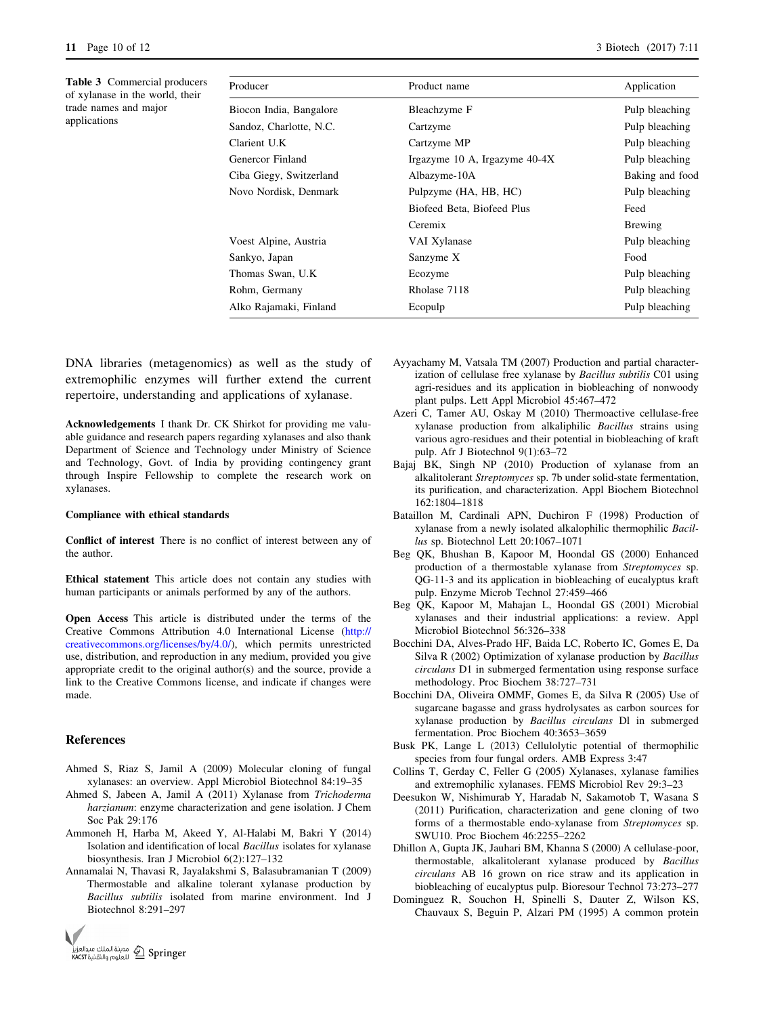<span id="page-9-0"></span>11 Page 10 of 12 3 Biotech (2017) 7:11

| <b>Table 3</b> Commercial producers |  |
|-------------------------------------|--|
| of xylanase in the world, their     |  |
| trade names and major               |  |
| applications                        |  |

| Producer                | Product name                      | Application     |
|-------------------------|-----------------------------------|-----------------|
| Biocon India, Bangalore | Bleachzyme F                      | Pulp bleaching  |
| Sandoz, Charlotte, N.C. | Cartzyme                          | Pulp bleaching  |
| Clarient U.K            | Cartzyme MP                       | Pulp bleaching  |
| Genercor Finland        | Irgazyme $10$ A, Irgazyme $40-4X$ | Pulp bleaching  |
| Ciba Giegy, Switzerland | Albazyme-10A                      | Baking and food |
| Novo Nordisk, Denmark   | Pulpzyme (HA, HB, HC)             | Pulp bleaching  |
|                         | Biofeed Beta, Biofeed Plus        | Feed            |
|                         | Ceremix                           | Brewing         |
| Voest Alpine, Austria   | VAI Xylanase                      | Pulp bleaching  |
| Sankyo, Japan           | Sanzyme X                         | Food            |
| Thomas Swan, U.K        | Ecozyme                           | Pulp bleaching  |
| Rohm, Germany           | Rholase 7118                      | Pulp bleaching  |
| Alko Rajamaki, Finland  | Ecopulp                           | Pulp bleaching  |

DNA libraries (metagenomics) as well as the study of extremophilic enzymes will further extend the current repertoire, understanding and applications of xylanase.

Acknowledgements I thank Dr. CK Shirkot for providing me valuable guidance and research papers regarding xylanases and also thank Department of Science and Technology under Ministry of Science and Technology, Govt. of India by providing contingency grant through Inspire Fellowship to complete the research work on xylanases.

#### Compliance with ethical standards

Conflict of interest There is no conflict of interest between any of the author.

Ethical statement This article does not contain any studies with human participants or animals performed by any of the authors.

Open Access This article is distributed under the terms of the Creative Commons Attribution 4.0 International License ([http://](http://creativecommons.org/licenses/by/4.0/) [creativecommons.org/licenses/by/4.0/\)](http://creativecommons.org/licenses/by/4.0/), which permits unrestricted use, distribution, and reproduction in any medium, provided you give appropriate credit to the original author(s) and the source, provide a link to the Creative Commons license, and indicate if changes were made.

#### References

- Ahmed S, Riaz S, Jamil A (2009) Molecular cloning of fungal xylanases: an overview. Appl Microbiol Biotechnol 84:19–35
- Ahmed S, Jabeen A, Jamil A (2011) Xylanase from Trichoderma harzianum: enzyme characterization and gene isolation. J Chem Soc Pak 29:176
- Ammoneh H, Harba M, Akeed Y, Al-Halabi M, Bakri Y (2014) Isolation and identification of local Bacillus isolates for xylanase biosynthesis. Iran J Microbiol 6(2):127–132
- Annamalai N, Thavasi R, Jayalakshmi S, Balasubramanian T (2009) Thermostable and alkaline tolerant xylanase production by Bacillus subtilis isolated from marine environment. Ind J Biotechnol 8:291–297



- Ayyachamy M, Vatsala TM (2007) Production and partial characterization of cellulase free xylanase by Bacillus subtilis C01 using agri-residues and its application in biobleaching of nonwoody plant pulps. Lett Appl Microbiol 45:467–472
- Azeri C, Tamer AU, Oskay M (2010) Thermoactive cellulase-free xylanase production from alkaliphilic Bacillus strains using various agro-residues and their potential in biobleaching of kraft pulp. Afr J Biotechnol 9(1):63–72
- Bajaj BK, Singh NP (2010) Production of xylanase from an alkalitolerant Streptomyces sp. 7b under solid-state fermentation, its purification, and characterization. Appl Biochem Biotechnol 162:1804–1818
- Bataillon M, Cardinali APN, Duchiron F (1998) Production of xylanase from a newly isolated alkalophilic thermophilic Bacillus sp. Biotechnol Lett 20:1067–1071
- Beg QK, Bhushan B, Kapoor M, Hoondal GS (2000) Enhanced production of a thermostable xylanase from Streptomyces sp. QG-11-3 and its application in biobleaching of eucalyptus kraft pulp. Enzyme Microb Technol 27:459–466
- Beg QK, Kapoor M, Mahajan L, Hoondal GS (2001) Microbial xylanases and their industrial applications: a review. Appl Microbiol Biotechnol 56:326–338
- Bocchini DA, Alves-Prado HF, Baida LC, Roberto IC, Gomes E, Da Silva R (2002) Optimization of xylanase production by Bacillus circulans D1 in submerged fermentation using response surface methodology. Proc Biochem 38:727–731
- Bocchini DA, Oliveira OMMF, Gomes E, da Silva R (2005) Use of sugarcane bagasse and grass hydrolysates as carbon sources for xylanase production by Bacillus circulans Dl in submerged fermentation. Proc Biochem 40:3653–3659
- Busk PK, Lange L (2013) Cellulolytic potential of thermophilic species from four fungal orders. AMB Express 3:47
- Collins T, Gerday C, Feller G (2005) Xylanases, xylanase families and extremophilic xylanases. FEMS Microbiol Rev 29:3–23
- Deesukon W, Nishimurab Y, Haradab N, Sakamotob T, Wasana S (2011) Purification, characterization and gene cloning of two forms of a thermostable endo-xylanase from Streptomyces sp. SWU10. Proc Biochem 46:2255–2262
- Dhillon A, Gupta JK, Jauhari BM, Khanna S (2000) A cellulase-poor, thermostable, alkalitolerant xylanase produced by Bacillus circulans AB 16 grown on rice straw and its application in biobleaching of eucalyptus pulp. Bioresour Technol 73:273–277
- Dominguez R, Souchon H, Spinelli S, Dauter Z, Wilson KS, Chauvaux S, Beguin P, Alzari PM (1995) A common protein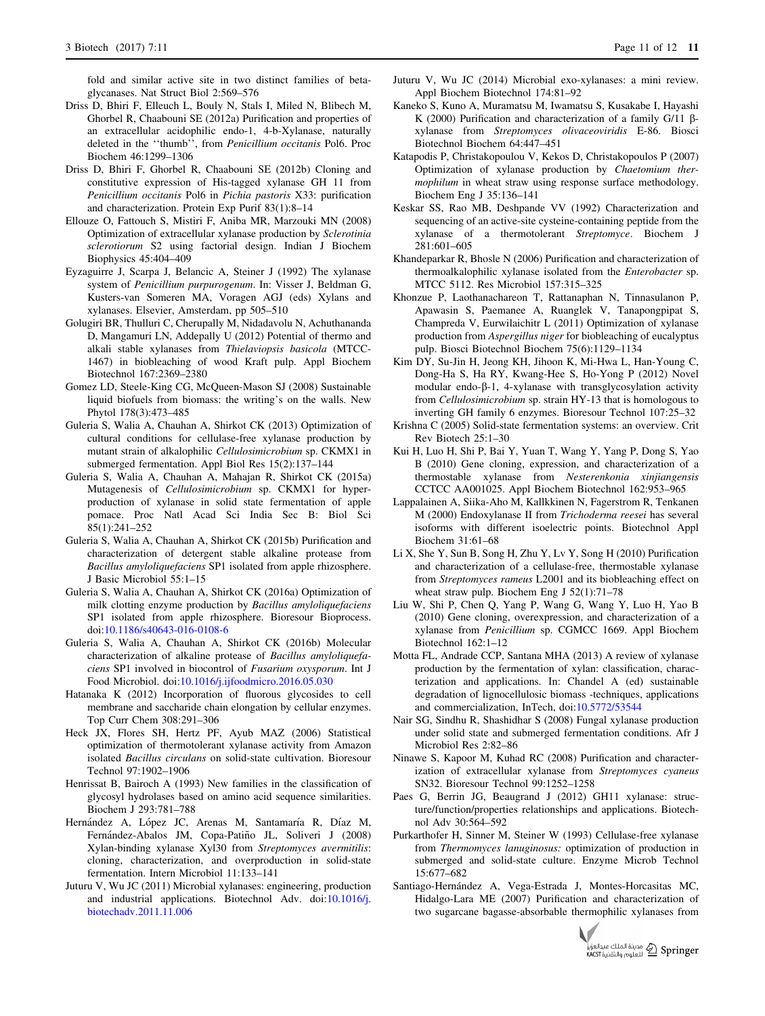<span id="page-10-0"></span>fold and similar active site in two distinct families of betaglycanases. Nat Struct Biol 2:569–576

- Driss D, Bhiri F, Elleuch L, Bouly N, Stals I, Miled N, Blibech M, Ghorbel R, Chaabouni SE (2012a) Purification and properties of an extracellular acidophilic endo-1, 4-b-Xylanase, naturally deleted in the ''thumb'', from Penicillium occitanis Pol6. Proc Biochem 46:1299–1306
- Driss D, Bhiri F, Ghorbel R, Chaabouni SE (2012b) Cloning and constitutive expression of His-tagged xylanase GH 11 from Penicillium occitanis Pol6 in Pichia pastoris X33: purification and characterization. Protein Exp Purif 83(1):8–14
- Ellouze O, Fattouch S, Mistiri F, Aniba MR, Marzouki MN (2008) Optimization of extracellular xylanase production by Sclerotinia sclerotiorum S2 using factorial design. Indian J Biochem Biophysics 45:404–409
- Eyzaguirre J, Scarpa J, Belancic A, Steiner J (1992) The xylanase system of Penicillium purpurogenum. In: Visser J, Beldman G, Kusters-van Someren MA, Voragen AGJ (eds) Xylans and xylanases. Elsevier, Amsterdam, pp 505–510
- Golugiri BR, Thulluri C, Cherupally M, Nidadavolu N, Achuthananda D, Mangamuri LN, Addepally U (2012) Potential of thermo and alkali stable xylanases from Thielaviopsis basicola (MTCC-1467) in biobleaching of wood Kraft pulp. Appl Biochem Biotechnol 167:2369–2380
- Gomez LD, Steele-King CG, McQueen-Mason SJ (2008) Sustainable liquid biofuels from biomass: the writing's on the walls. New Phytol 178(3):473–485
- Guleria S, Walia A, Chauhan A, Shirkot CK (2013) Optimization of cultural conditions for cellulase-free xylanase production by mutant strain of alkalophilic Cellulosimicrobium sp. CKMX1 in submerged fermentation. Appl Biol Res 15(2):137–144
- Guleria S, Walia A, Chauhan A, Mahajan R, Shirkot CK (2015a) Mutagenesis of Cellulosimicrobium sp. CKMX1 for hyperproduction of xylanase in solid state fermentation of apple pomace. Proc Natl Acad Sci India Sec B: Biol Sci 85(1):241–252
- Guleria S, Walia A, Chauhan A, Shirkot CK (2015b) Purification and characterization of detergent stable alkaline protease from Bacillus amyloliquefaciens SP1 isolated from apple rhizosphere. J Basic Microbiol 55:1–15
- Guleria S, Walia A, Chauhan A, Shirkot CK (2016a) Optimization of milk clotting enzyme production by Bacillus amyloliquefaciens SP1 isolated from apple rhizosphere. Bioresour Bioprocess. doi[:10.1186/s40643-016-0108-6](http://dx.doi.org/10.1186/s40643-016-0108-6)
- Guleria S, Walia A, Chauhan A, Shirkot CK (2016b) Molecular characterization of alkaline protease of Bacillus amyloliquefaciens SP1 involved in biocontrol of Fusarium oxysporum. Int J Food Microbiol. doi[:10.1016/j.ijfoodmicro.2016.05.030](http://dx.doi.org/10.1016/j.ijfoodmicro.2016.05.030)
- Hatanaka K (2012) Incorporation of fluorous glycosides to cell membrane and saccharide chain elongation by cellular enzymes. Top Curr Chem 308:291–306
- Heck JX, Flores SH, Hertz PF, Ayub MAZ (2006) Statistical optimization of thermotolerant xylanase activity from Amazon isolated Bacillus circulans on solid-state cultivation. Bioresour Technol 97:1902–1906
- Henrissat B, Bairoch A (1993) New families in the classification of glycosyl hydrolases based on amino acid sequence similarities. Biochem J 293:781–788
- Hernández A, López JC, Arenas M, Santamaría R, Díaz M, Fernández-Abalos JM, Copa-Patiño JL, Soliveri J (2008) Xylan-binding xylanase Xyl30 from Streptomyces avermitilis: cloning, characterization, and overproduction in solid-state fermentation. Intern Microbiol 11:133–141
- Juturu V, Wu JC (2011) Microbial xylanases: engineering, production and industrial applications. Biotechnol Adv. doi:[10.1016/j.](http://dx.doi.org/10.1016/j.biotechadv.2011.11.006) [biotechadv.2011.11.006](http://dx.doi.org/10.1016/j.biotechadv.2011.11.006)
- Juturu V, Wu JC (2014) Microbial exo-xylanases: a mini review. Appl Biochem Biotechnol 174:81–92
- Kaneko S, Kuno A, Muramatsu M, Iwamatsu S, Kusakabe I, Hayashi K (2000) Purification and characterization of a family  $G/11$   $\beta$ xylanase from Streptomyces olivaceoviridis E-86. Biosci Biotechnol Biochem 64:447–451
- Katapodis P, Christakopoulou V, Kekos D, Christakopoulos P (2007) Optimization of xylanase production by Chaetomium thermophilum in wheat straw using response surface methodology. Biochem Eng J 35:136–141
- Keskar SS, Rao MB, Deshpande VV (1992) Characterization and sequencing of an active-site cysteine-containing peptide from the xylanase of a thermotolerant Streptomyce. Biochem J 281:601–605
- Khandeparkar R, Bhosle N (2006) Purification and characterization of thermoalkalophilic xylanase isolated from the Enterobacter sp. MTCC 5112. Res Microbiol 157:315–325
- Khonzue P, Laothanachareon T, Rattanaphan N, Tinnasulanon P, Apawasin S, Paemanee A, Ruanglek V, Tanapongpipat S, Champreda V, Eurwilaichitr L (2011) Optimization of xylanase production from Aspergillus niger for biobleaching of eucalyptus pulp. Biosci Biotechnol Biochem 75(6):1129–1134
- Kim DY, Su-Jin H, Jeong KH, Jihoon K, Mi-Hwa L, Han-Young C, Dong-Ha S, Ha RY, Kwang-Hee S, Ho-Yong P (2012) Novel modular endo-β-1, 4-xylanase with transglycosylation activity from Cellulosimicrobium sp. strain HY-13 that is homologous to inverting GH family 6 enzymes. Bioresour Technol 107:25–32
- Krishna C (2005) Solid-state fermentation systems: an overview. Crit Rev Biotech 25:1–30
- Kui H, Luo H, Shi P, Bai Y, Yuan T, Wang Y, Yang P, Dong S, Yao B (2010) Gene cloning, expression, and characterization of a thermostable xylanase from Nesterenkonia xinjiangensis CCTCC AA001025. Appl Biochem Biotechnol 162:953–965
- Lappalainen A, Siika-Aho M, Kallkkinen N, Fagerstrom R, Tenkanen M (2000) Endoxylanase II from Trichoderma reesei has several isoforms with different isoelectric points. Biotechnol Appl Biochem 31:61–68
- Li X, She Y, Sun B, Song H, Zhu Y, Lv Y, Song H (2010) Purification and characterization of a cellulase-free, thermostable xylanase from Streptomyces rameus L2001 and its biobleaching effect on wheat straw pulp. Biochem Eng J 52(1):71–78
- Liu W, Shi P, Chen Q, Yang P, Wang G, Wang Y, Luo H, Yao B (2010) Gene cloning, overexpression, and characterization of a xylanase from Penicillium sp. CGMCC 1669. Appl Biochem Biotechnol 162:1–12
- Motta FL, Andrade CCP, Santana MHA (2013) A review of xylanase production by the fermentation of xylan: classification, characterization and applications. In: Chandel A (ed) sustainable degradation of lignocellulosic biomass -techniques, applications and commercialization, InTech, doi:[10.5772/53544](http://dx.doi.org/10.5772/53544)
- Nair SG, Sindhu R, Shashidhar S (2008) Fungal xylanase production under solid state and submerged fermentation conditions. Afr J Microbiol Res 2:82–86
- Ninawe S, Kapoor M, Kuhad RC (2008) Purification and characterization of extracellular xylanase from Streptomyces cyaneus SN32. Bioresour Technol 99:1252–1258
- Paes G, Berrin JG, Beaugrand J (2012) GH11 xylanase: structure/function/properties relationships and applications. Biotechnol Adv 30:564–592
- Purkarthofer H, Sinner M, Steiner W (1993) Cellulase-free xylanase from Thermomyces lanuginosus: optimization of production in submerged and solid-state culture. Enzyme Microb Technol 15:677–682
- Santiago-Hernández A, Vega-Estrada J, Montes-Horcasitas MC, Hidalgo-Lara ME (2007) Purification and characterization of two sugarcane bagasse-absorbable thermophilic xylanases from